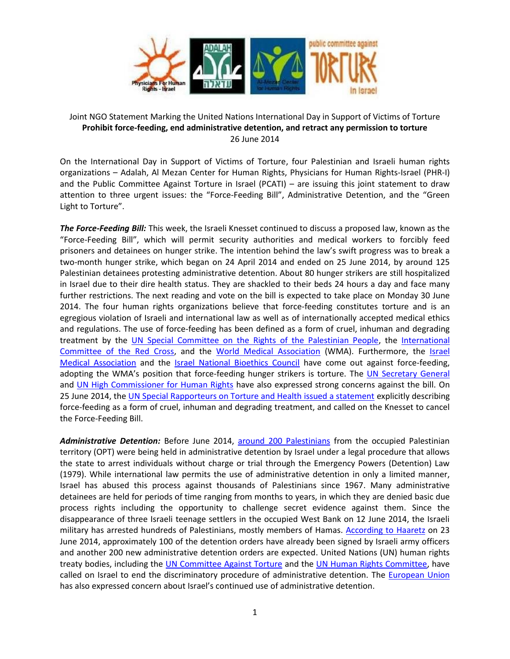

## Joint NGO Statement Marking the United Nations International Day in Support of Victims of Torture **Prohibit force-feeding, end administrative detention, and retract any permission to torture** 26 June 2014

On the International Day in Support of Victims of Torture, four Palestinian and Israeli human rights organizations – Adalah, Al Mezan Center for Human Rights, Physicians for Human Rights-Israel (PHR-I) and the Public Committee Against Torture in Israel (PCATI) – are issuing this joint statement to draw attention to three urgent issues: the "Force-Feeding Bill", Administrative Detention, and the "Green Light to Torture".

*The Force-Feeding Bill:* This week, the Israeli Knesset continued to discuss a proposed law, known as the "Force-Feeding Bill", which will permit security authorities and medical workers to forcibly feed prisoners and detainees on hunger strike. The intention behind the law's swift progress was to break a two-month hunger strike, which began on 24 April 2014 and ended on 25 June 2014, by around 125 Palestinian detainees protesting administrative detention. About 80 hunger strikers are still hospitalized in Israel due to their dire health status. They are shackled to their beds 24 hours a day and face many further restrictions. The next reading and vote on the bill is expected to take place on Monday 30 June 2014. The four human rights organizations believe that force-feeding constitutes torture and is an egregious violation of Israeli and international law as well as of internationally accepted medical ethics and regulations. The use of force-feeding has been defined as a form of cruel, inhuman and degrading treatment by the [UN Special Committee on the Rights of the Palestinian People,](http://www.ohchr.org/EN/NewsEvents/Pages/DisplayNews.aspx?NewsID=14665&LangID=E) the [International](http://www.icrc.org/eng/resources/documents/faq/hunger-strike-icrc-position.htm)  [Committee of the Red Cross,](http://www.icrc.org/eng/resources/documents/faq/hunger-strike-icrc-position.htm) and the [World Medical Association](http://www.wma.net/en/40news/20archives/2014/2014_14/index.html) (WMA). Furthermore, the [Israel](http://www.ima.org.il/ENG/ViewCategory.aspx?CategoryId=4497)  [Medical Association](http://www.ima.org.il/ENG/ViewCategory.aspx?CategoryId=4497) and the [Israel National Bioethics Council](http://www.haaretz.com/news/national/.premium-1.584570) have come out against force-feeding, adopting the WMA's position that force-feeding hunger strikers is torture. The [UN Secretary General](http://www.un.org/apps/news/story.asp?NewsID=47979#.U6g3XPmSzju) and [UN High Commissioner for Human Rights](http://www.ohchr.org/EN/NewsEvents/Pages/DisplayNews.aspx?NewsID=14750&LangID=E) have also expressed strong concerns against the bill. On 25 June 2014, the [UN Special Rapporteurs on Torture and Health issued a statement](http://www.ohchr.org/EN/NewsEvents/Pages/DisplayNews.aspx?NewsID=14770&LangID=E) explicitly describing force-feeding as a form of cruel, inhuman and degrading treatment, and called on the Knesset to cancel the Force-Feeding Bill.

*Administrative Detention:* Before June 2014, [around 200 Palestinians](http://www.addameer.org/etemplate.php?id=688) from the occupied Palestinian territory (OPT) were being held in administrative detention by Israel under a legal procedure that allows the state to arrest individuals without charge or trial through the Emergency Powers (Detention) Law (1979). While international law permits the use of administrative detention in only a limited manner, Israel has abused this process against thousands of Palestinians since 1967. Many administrative detainees are held for periods of time ranging from months to years, in which they are denied basic due process rights including the opportunity to challenge secret evidence against them. Since the disappearance of three Israeli teenage settlers in the occupied West Bank on 12 June 2014, the Israeli military has arrested hundreds of Palestinians, mostly members of Hamas. [According to Haaretz](http://www.haaretz.com/news/diplomacy-defense/.premium-1.600480) on 23 June 2014, approximately 100 of the detention orders have already been signed by Israeli army officers and another 200 new administrative detention orders are expected. United Nations (UN) human rights treaty bodies, including the [UN Committee Against Torture](http://www2.ohchr.org/english/bodies/cat/docs/cobs/CAT.C.ISR.CO.4.pdf) and the [UN Human Rights Committee,](http://unispal.un.org/UNISPAL.NSF/0/51410EBD25FCE78F85257770007194A8) have called on Israel to end the discriminatory procedure of administrative detention. The [European Union](http://eeas.europa.eu/enp/pdf/2014/country-reports/israel_en.pdf) has also expressed concern about Israel's continued use of administrative detention.